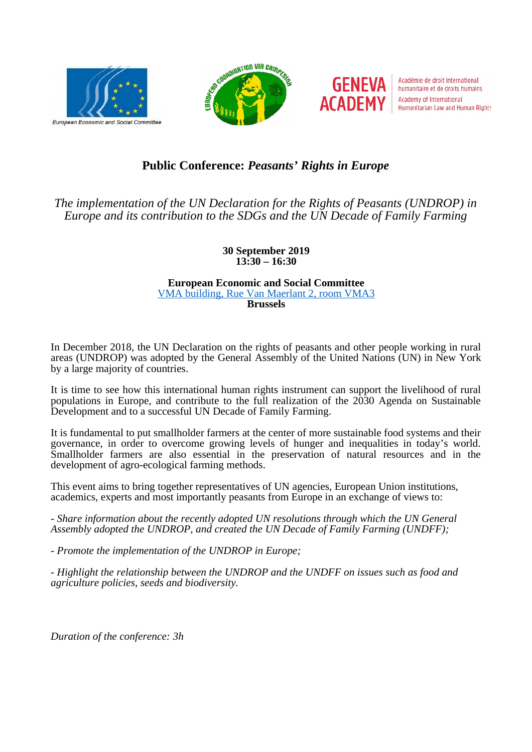





Académie de droit international humanitaire et de droits humains **Academy of International** Humanitarian Law and Human Rights

# **Public Conference:** *Peasants' Rights in Europe*

*The implementation of the UN Declaration for the Rights of Peasants (UNDROP) in Europe and its contribution to the SDGs and the UN Decade of Family Farming*

> **30 September 2019 13:30 – 16:30**

#### **European Economic and Social Committee** [VMA building, Rue Van Maerlant 2, room VMA3](https://goo.gl/maps/gaiD2C1LF89HpPqh6) **Brussels**

In December 2018, the UN Declaration on the rights of peasants and other people working in rural areas (UNDROP) was adopted by the General Assembly of the United Nations (UN) in New York by a large majority of countries.

It is time to see how this international human rights instrument can support the livelihood of rural populations in Europe, and contribute to the full realization of the 2030 Agenda on Sustainable Development and to a successful UN Decade of Family Farming.

It is fundamental to put smallholder farmers at the center of more sustainable food systems and their governance, in order to overcome growing levels of hunger and inequalities in today's world. Smallholder farmers are also essential in the preservation of natural resources and in the development of agro-ecological farming methods.

This event aims to bring together representatives of UN agencies, European Union institutions, academics, experts and most importantly peasants from Europe in an exchange of views to:

*- Share information about the recently adopted UN resolutions through which the UN General Assembly adopted the UNDROP, and created the UN Decade of Family Farming (UNDFF);*

*- Promote the implementation of the UNDROP in Europe;*

*- Highlight the relationship between the UNDROP and the UNDFF on issues such as food and agriculture policies, seeds and biodiversity.*

*Duration of the conference: 3h*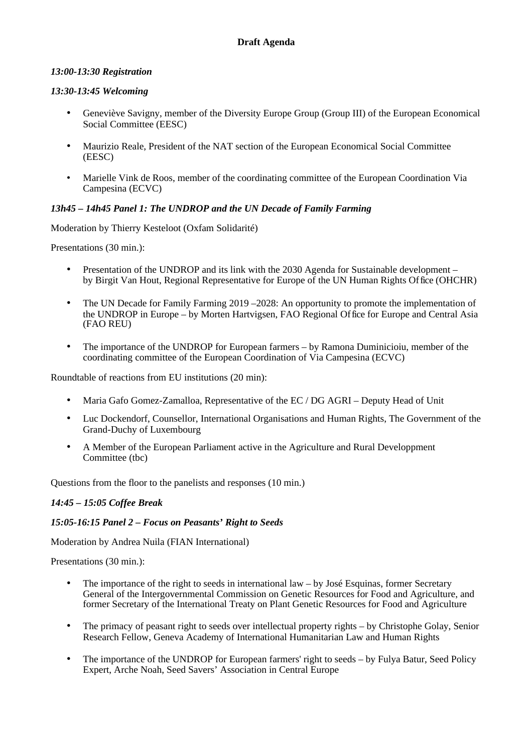### *13:00-13:30 Registration*

#### *13:30-13:45 Welcoming*

- Geneviève Savigny, member of the Diversity Europe Group (Group III) of the European Economical Social Committee (EESC)
- Maurizio Reale, President of the NAT section of the European Economical Social Committee (EESC)
- Marielle Vink de Roos, member of the coordinating committee of the European Coordination Via Campesina (ECVC)

### *13h45 – 14h45 Panel 1: The UNDROP and the UN Decade of Family Farming*

Moderation by Thierry Kesteloot (Oxfam Solidarité)

Presentations (30 min.):

- Presentation of the UNDROP and its link with the 2030 Agenda for Sustainable development by Birgit Van Hout, Regional Representative for Europe of the UN Human Rights Office (OHCHR)
- The UN Decade for Family Farming 2019 2028: An opportunity to promote the implementation of the UNDROP in Europe – by Morten Hartvigsen, FAO Regional Office for Europe and Central Asia (FAO REU)
- The importance of the UNDROP for European farmers by Ramona Duminicioiu, member of the coordinating committee of the European Coordination of Via Campesina (ECVC)

Roundtable of reactions from EU institutions (20 min):

- Maria Gafo Gomez-Zamalloa, Representative of the EC / DG AGRI Deputy Head of Unit
- Luc Dockendorf, Counsellor, International Organisations and Human Rights, The Government of the Grand-Duchy of Luxembourg
- A Member of the European Parliament active in the Agriculture and Rural Developpment Committee (tbc)

Questions from the floor to the panelists and responses (10 min.)

### *14:45 – 15:05 Coffee Break*

### *15:05-16:15 Panel 2 – Focus on Peasants' Right to Seeds*

Moderation by Andrea Nuila (FIAN International)

Presentations (30 min.):

- The importance of the right to seeds in international law by José Esquinas, former Secretary General of the Intergovernmental Commission on Genetic Resources for Food and Agriculture, and former Secretary of the International Treaty on Plant Genetic Resources for Food and Agriculture
- The primacy of peasant right to seeds over intellectual property rights by Christophe Golay, Senior Research Fellow, Geneva Academy of International Humanitarian Law and Human Rights
- The importance of the UNDROP for European farmers' right to seeds by Fulya Batur, Seed Policy Expert, Arche Noah, Seed Savers' Association in Central Europe